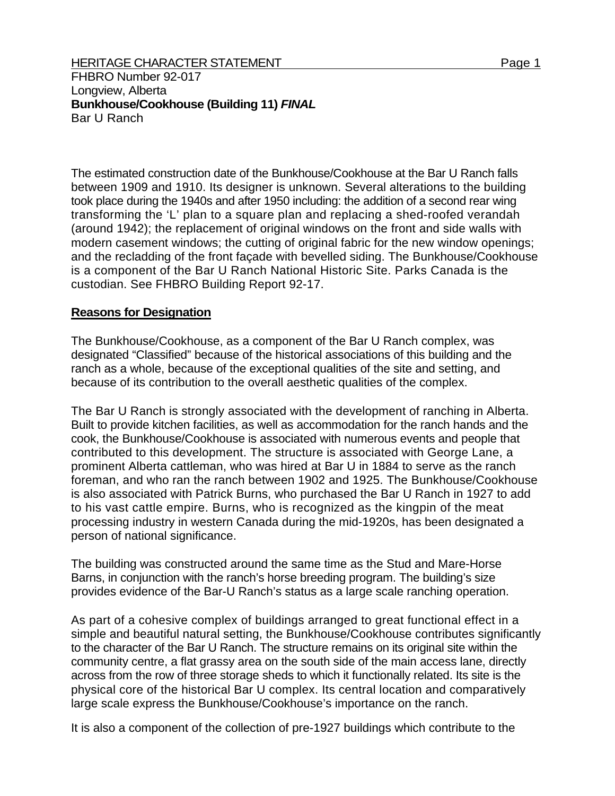## HERITAGE CHARACTER STATEMENT FOR A 2000 1 Page 1

FHBRO Number 92-017 Longview, Alberta **Bunkhouse/Cookhouse (Building 11)** *FINAL*  Bar U Ranch

The estimated construction date of the Bunkhouse/Cookhouse at the Bar U Ranch falls between 1909 and 1910. Its designer is unknown. Several alterations to the building took place during the 1940s and after 1950 including: the addition of a second rear wing transforming the 'L' plan to a square plan and replacing a shed-roofed verandah (around 1942); the replacement of original windows on the front and side walls with modern casement windows; the cutting of original fabric for the new window openings; and the recladding of the front façade with bevelled siding. The Bunkhouse/Cookhouse is a component of the Bar U Ranch National Historic Site. Parks Canada is the custodian. See FHBRO Building Report 92-17.

## **Reasons for Designation**

The Bunkhouse/Cookhouse, as a component of the Bar U Ranch complex, was designated "Classified" because of the historical associations of this building and the ranch as a whole, because of the exceptional qualities of the site and setting, and because of its contribution to the overall aesthetic qualities of the complex.

The Bar U Ranch is strongly associated with the development of ranching in Alberta. Built to provide kitchen facilities, as well as accommodation for the ranch hands and the cook, the Bunkhouse/Cookhouse is associated with numerous events and people that contributed to this development. The structure is associated with George Lane, a prominent Alberta cattleman, who was hired at Bar U in 1884 to serve as the ranch foreman, and who ran the ranch between 1902 and 1925. The Bunkhouse/Cookhouse is also associated with Patrick Burns, who purchased the Bar U Ranch in 1927 to add to his vast cattle empire. Burns, who is recognized as the kingpin of the meat processing industry in western Canada during the mid-1920s, has been designated a person of national significance.

The building was constructed around the same time as the Stud and Mare-Horse Barns, in conjunction with the ranch's horse breeding program. The building's size provides evidence of the Bar-U Ranch's status as a large scale ranching operation.

As part of a cohesive complex of buildings arranged to great functional effect in a simple and beautiful natural setting, the Bunkhouse/Cookhouse contributes significantly to the character of the Bar U Ranch. The structure remains on its original site within the community centre, a flat grassy area on the south side of the main access lane, directly across from the row of three storage sheds to which it functionally related. Its site is the physical core of the historical Bar U complex. Its central location and comparatively large scale express the Bunkhouse/Cookhouse's importance on the ranch.

It is also a component of the collection of pre-1927 buildings which contribute to the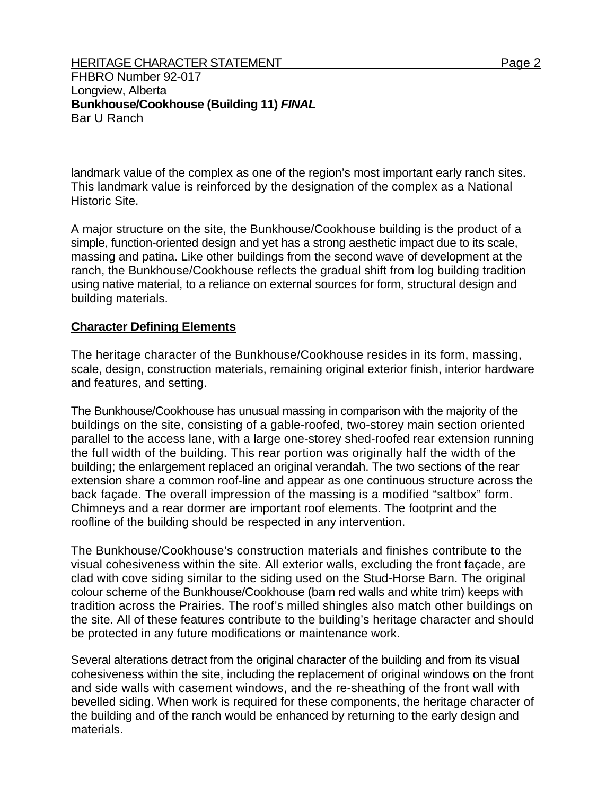FHBRO Number 92-017 Longview, Alberta **Bunkhouse/Cookhouse (Building 11)** *FINAL*  Bar U Ranch

landmark value of the complex as one of the region's most important early ranch sites. This landmark value is reinforced by the designation of the complex as a National Historic Site.

A major structure on the site, the Bunkhouse/Cookhouse building is the product of a simple, function-oriented design and yet has a strong aesthetic impact due to its scale, massing and patina. Like other buildings from the second wave of development at the ranch, the Bunkhouse/Cookhouse reflects the gradual shift from log building tradition using native material, to a reliance on external sources for form, structural design and building materials.

## **Character Defining Elements**

The heritage character of the Bunkhouse/Cookhouse resides in its form, massing, scale, design, construction materials, remaining original exterior finish, interior hardware and features, and setting.

The Bunkhouse/Cookhouse has unusual massing in comparison with the majority of the buildings on the site, consisting of a gable-roofed, two-storey main section oriented parallel to the access lane, with a large one-storey shed-roofed rear extension running the full width of the building. This rear portion was originally half the width of the building; the enlargement replaced an original verandah. The two sections of the rear extension share a common roof-line and appear as one continuous structure across the back façade. The overall impression of the massing is a modified "saltbox" form. Chimneys and a rear dormer are important roof elements. The footprint and the roofline of the building should be respected in any intervention.

The Bunkhouse/Cookhouse's construction materials and finishes contribute to the visual cohesiveness within the site. All exterior walls, excluding the front façade, are clad with cove siding similar to the siding used on the Stud-Horse Barn. The original colour scheme of the Bunkhouse/Cookhouse (barn red walls and white trim) keeps with tradition across the Prairies. The roof's milled shingles also match other buildings on the site. All of these features contribute to the building's heritage character and should be protected in any future modifications or maintenance work.

Several alterations detract from the original character of the building and from its visual cohesiveness within the site, including the replacement of original windows on the front and side walls with casement windows, and the re-sheathing of the front wall with bevelled siding. When work is required for these components, the heritage character of the building and of the ranch would be enhanced by returning to the early design and materials.